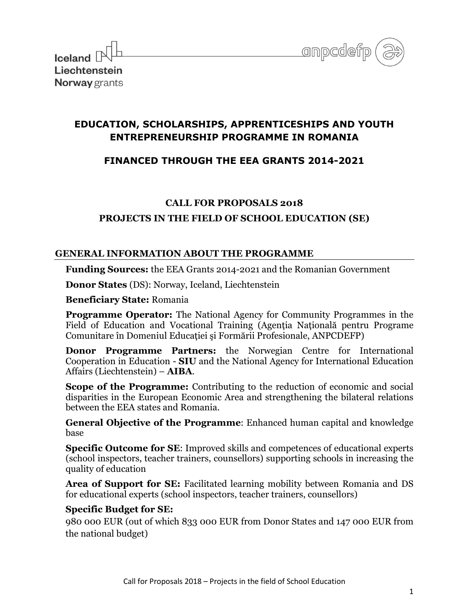



# **EDUCATION, SCHOLARSHIPS, APPRENTICESHIPS AND YOUTH ENTREPRENEURSHIP PROGRAMME IN ROMANIA**

## **FINANCED THROUGH THE EEA GRANTS 2014-2021**

## **CALL FOR PROPOSALS 2018**

## **PROJECTS IN THE FIELD OF SCHOOL EDUCATION (SE)**

## **GENERAL INFORMATION ABOUT THE PROGRAMME**

**Funding Sources:** the EEA Grants 2014-2021 and the Romanian Government

**Donor States** (DS): Norway, Iceland, Liechtenstein

**Beneficiary State:** Romania

**Programme Operator:** The National Agency for Community Programmes in the Field of Education and Vocational Training (Agentia Natională pentru Programe Comunitare în Domeniul Educației și Formării Profesionale, ANPCDEFP)

**Donor Programme Partners:** the Norwegian Centre for International Cooperation in Education - **SIU** and the National Agency for International Education Affairs (Liechtenstein) – **AIBA**.

**Scope of the Programme:** Contributing to the reduction of economic and social disparities in the European Economic Area and strengthening the bilateral relations between the EEA states and Romania.

**General Objective of the Programme**: Enhanced human capital and knowledge base

**Specific Outcome for SE**: Improved skills and competences of educational experts (school inspectors, teacher trainers, counsellors) supporting schools in increasing the quality of education

**Area of Support for SE:** Facilitated learning mobility between Romania and DS for educational experts (school inspectors, teacher trainers, counsellors)

## **Specific Budget for SE:**

980 000 EUR (out of which 833 000 EUR from Donor States and 147 000 EUR from the national budget)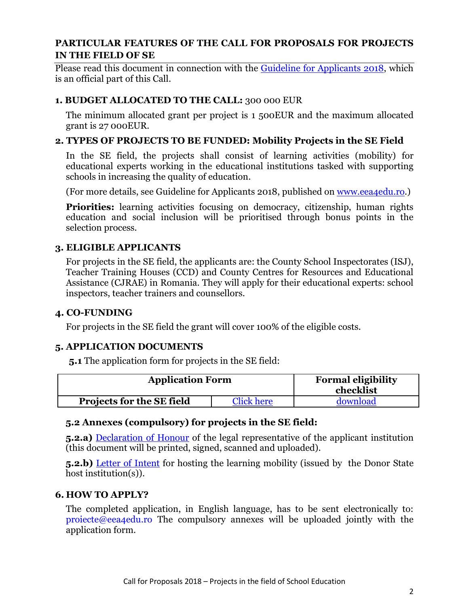## **PARTICULAR FEATURES OF THE CALL FOR PROPOSALS FOR PROJECTS IN THE FIELD OF SE**

Please read this document in connection with the [Guideline for](http://www.eea4edu.ro/wp-content/uploads/2018_Fisiere_RO/SCOLAR/GUIDE_SE_2117_20-12-2017.pdf) Applicants 2018, which is an official part of this Call.

## **1. BUDGET ALLOCATED TO THE CALL:** 300 000 EUR

The minimum allocated grant per project is 1 500EUR and the maximum allocated grant is 27 000EUR.

#### **2. TYPES OF PROJECTS TO BE FUNDED: Mobility Projects in the SE Field**

In the SE field, the projects shall consist of learning activities (mobility) for educational experts working in the educational institutions tasked with supporting schools in increasing the quality of education.

(For more details, see Guideline for Applicants 2018, published on [www.eea4edu.ro.](http://www.eea4edu.ro/))

**Priorities:** learning activities focusing on democracy, citizenship, human rights education and social inclusion will be prioritised through bonus points in the selection process.

#### **3. ELIGIBLE APPLICANTS**

For projects in the SE field, the applicants are: the County School Inspectorates (ISJ), Teacher Training Houses (CCD) and County Centres for Resources and Educational Assistance (CJRAE) in Romania. They will apply for their educational experts: school inspectors, teacher trainers and counsellors.

#### **4. CO-FUNDING**

For projects in the SE field the grant will cover 100% of the eligible costs.

#### **5. APPLICATION DOCUMENTS**

**5.1** The application form for projects in the SE field:

| <b>Application Form</b>          |                   | <b>Formal eligibility</b><br>checklist |
|----------------------------------|-------------------|----------------------------------------|
| <b>Projects for the SE field</b> | <b>Click here</b> | download                               |

#### **5.2 Annexes (compulsory) for projects in the SE field:**

**5.2.a)** [Declaration of Honour](http://www.eea4edu.ro/wp-content/uploads/2018_Fisiere_RO/SCOLAR/DoH_SE_2018.pdf) of the legal representative of the applicant institution (this document will be printed, signed, scanned and uploaded).

**5.2.b)** [Letter of Intent](http://www.eea4edu.ro/wp-content/uploads/2018_Fisiere_RO/SCOLAR/Letter_of_Intent_SE_2018.docx) for hosting the learning mobility (issued by the Donor State host institution(s)).

#### **6. HOW TO APPLY?**

The completed application, in English language, has to be sent electronically to: proiecte@eea4edu.ro The compulsory annexes will be uploaded jointly with the application form.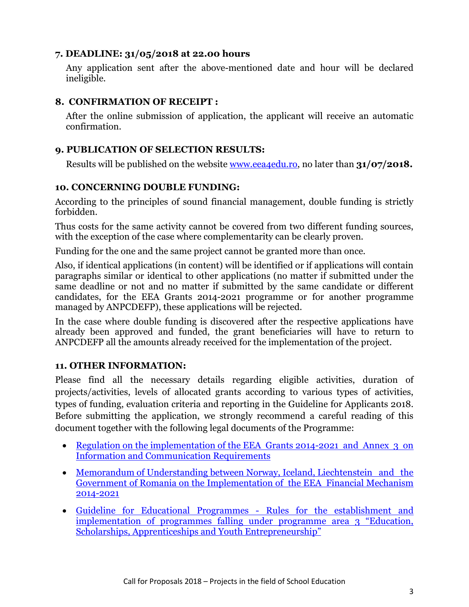## **7. DEADLINE: 31/05/2018 at 22.00 hours**

Any application sent after the above-mentioned date and hour will be declared ineligible.

## **8. CONFIRMATION OF RECEIPT :**

After the online submission of application, the applicant will receive an automatic confirmation.

## **9. PUBLICATION OF SELECTION RESULTS:**

Results will be published on the website <u>www.eea4edu.ro</u>, no later than **31/07/2018.** 

## **10. CONCERNING DOUBLE FUNDING:**

According to the principles of sound financial management, double funding is strictly forbidden.

Thus costs for the same activity cannot be covered from two different funding sources, with the exception of the case where complementarity can be clearly proven.

Funding for the one and the same project cannot be granted more than once.

Also, if identical applications (in content) will be identified or if applications will contain paragraphs similar or identical to other applications (no matter if submitted under the same deadline or not and no matter if submitted by the same candidate or different candidates, for the EEA Grants 2014-2021 programme or for another programme managed by ANPCDEFP), these applications will be rejected.

In the case where double funding is discovered after the respective applications have already been approved and funded, the grant beneficiaries will have to return to ANPCDEFP all the amounts already received for the implementation of the project.

## **11. OTHER INFORMATION:**

Please find all the necessary details regarding eligible activities, duration of projects/activities, levels of allocated grants according to various types of activities, types of funding, evaluation criteria and reporting in the Guideline for Applicants 2018. Before submitting the application, we strongly recommend a careful reading of this document together with the following legal documents of the Programme:

- Regulation on the implementation of the EEA Grants 2014-2021 and Annex 3 on [Information and Communication Requirements](https://eeagrants.org/Results-data/Documents/Legal-documents/Regulations-with-annexes/EEA-Grants-2014-2021)
- Memorandum of Understanding between Norway, Iceland, [Liechtenstein and the](https://eeagrants.org/Results-data/Documents/Legal-documents/Memoranda-of-Understanding-with-beneficiary-countries/Romania)  Government of Romania on the Impleme[ntation of the EEA Financial Mechanism](https://eeagrants.org/Results-data/Documents/Legal-documents/Memoranda-of-Understanding-with-beneficiary-countries/Romania)  [2014-2021](https://eeagrants.org/Results-data/Documents/Legal-documents/Memoranda-of-Understanding-with-beneficiary-countries/Romania)
- [Guideline for Educational Programmes Rules for the establishment and](https://eeagrants.org/Results-data/Documents/Legal-documents/Guidelines-mandates-and-strategy/EEA-and-Norway-Grants-2014-2021/Guideline-for-Educational-Programmes2)  [implementation of programmes falling under programme area 3 "Education,](https://eeagrants.org/Results-data/Documents/Legal-documents/Guidelines-mandates-and-strategy/EEA-and-Norway-Grants-2014-2021/Guideline-for-Educational-Programmes2)  [Scholarships, Apprenticeships and Youth Entrepreneurship"](https://eeagrants.org/Results-data/Documents/Legal-documents/Guidelines-mandates-and-strategy/EEA-and-Norway-Grants-2014-2021/Guideline-for-Educational-Programmes2)